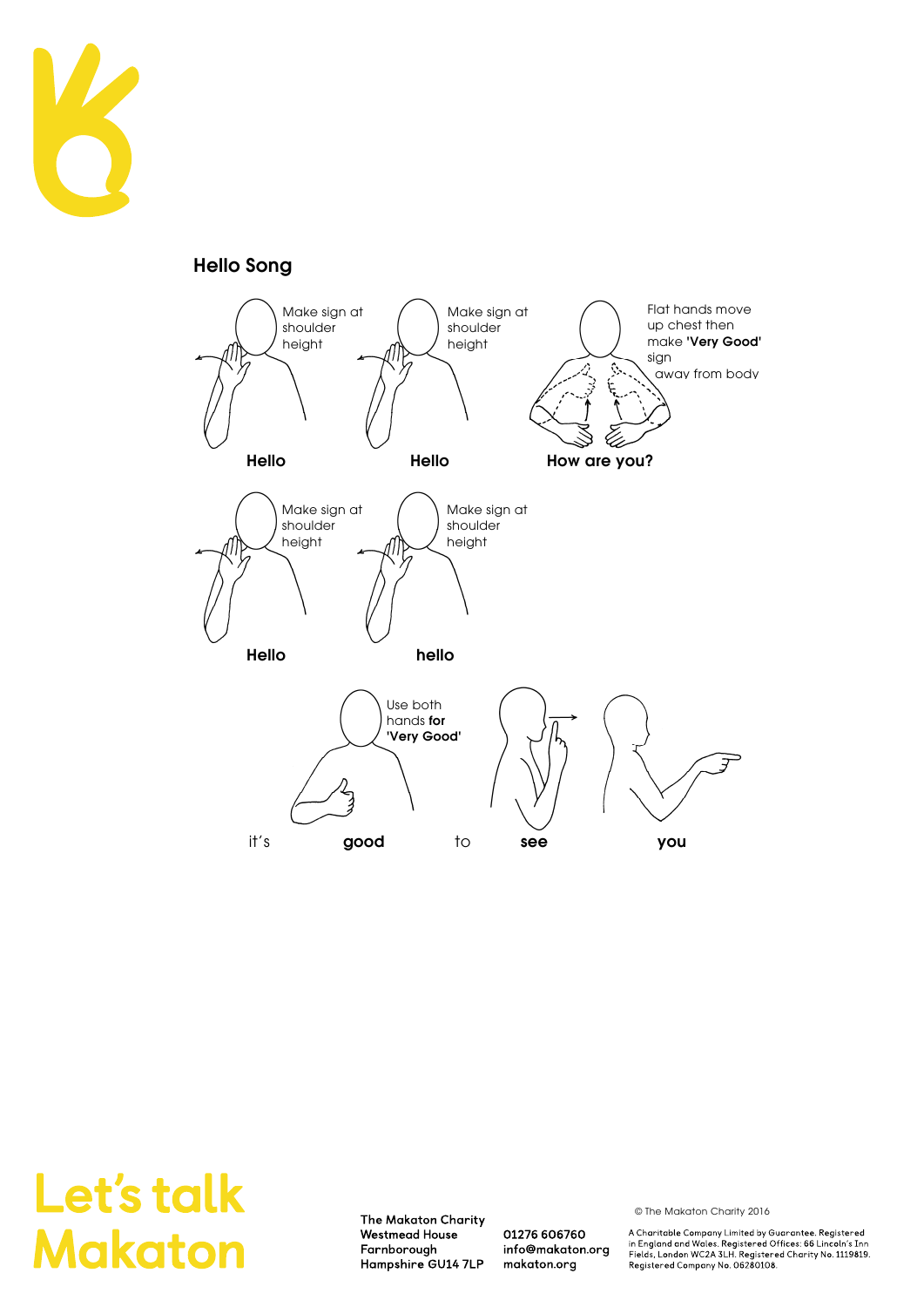

**Hello Song** 



## Let's talk **Makaton**

The Makaton Charity Westmead House Farnborough Hampshire GU14 7LP

01276 606760 info@makaton.org makaton.org

© The Makaton Charity 2016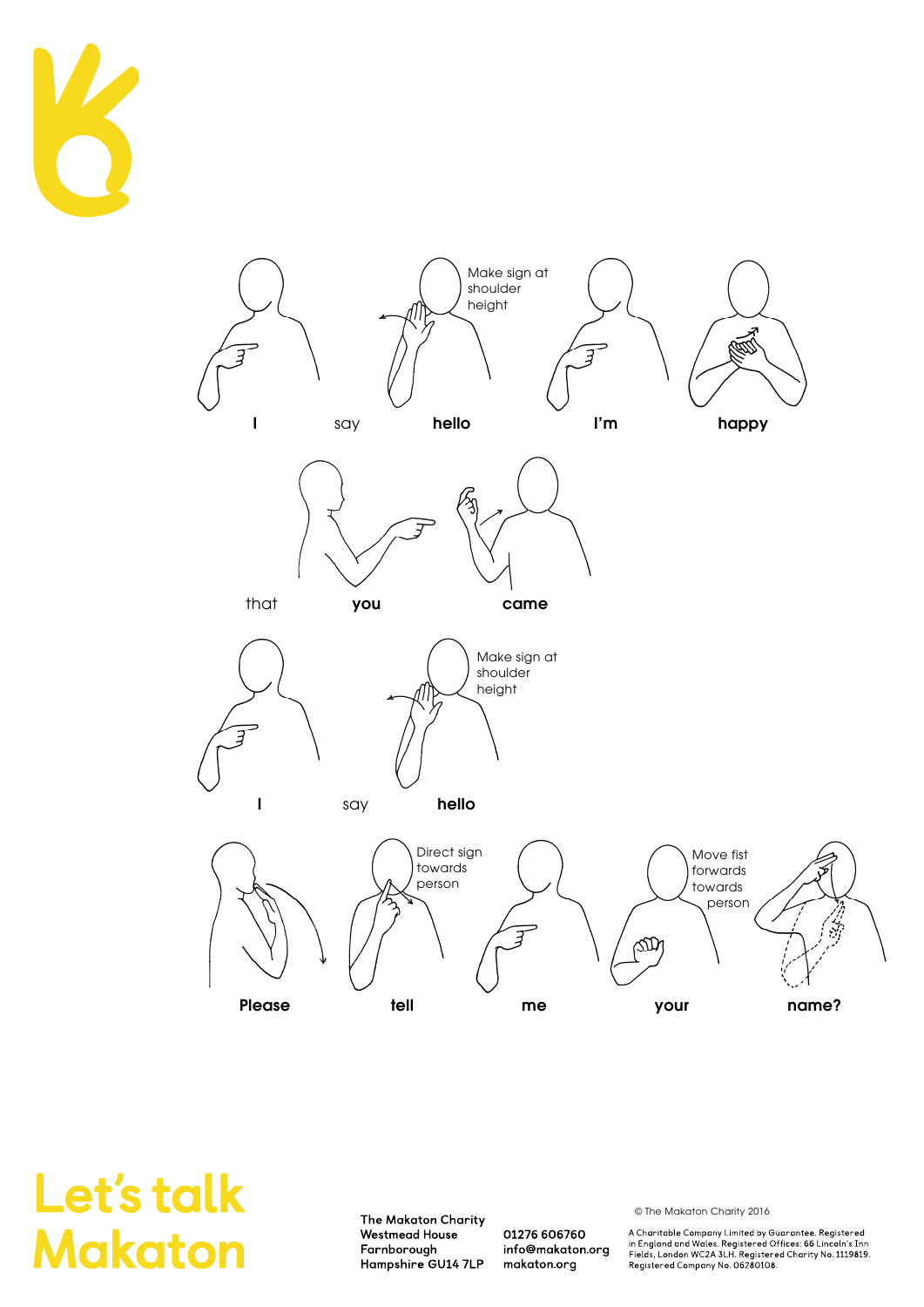



The Makaton Charity Westmead House Farnborough Hampshire GU14 7LP

01276 606760 info@makaton.org makaton.org

© The Makaton Charity 2016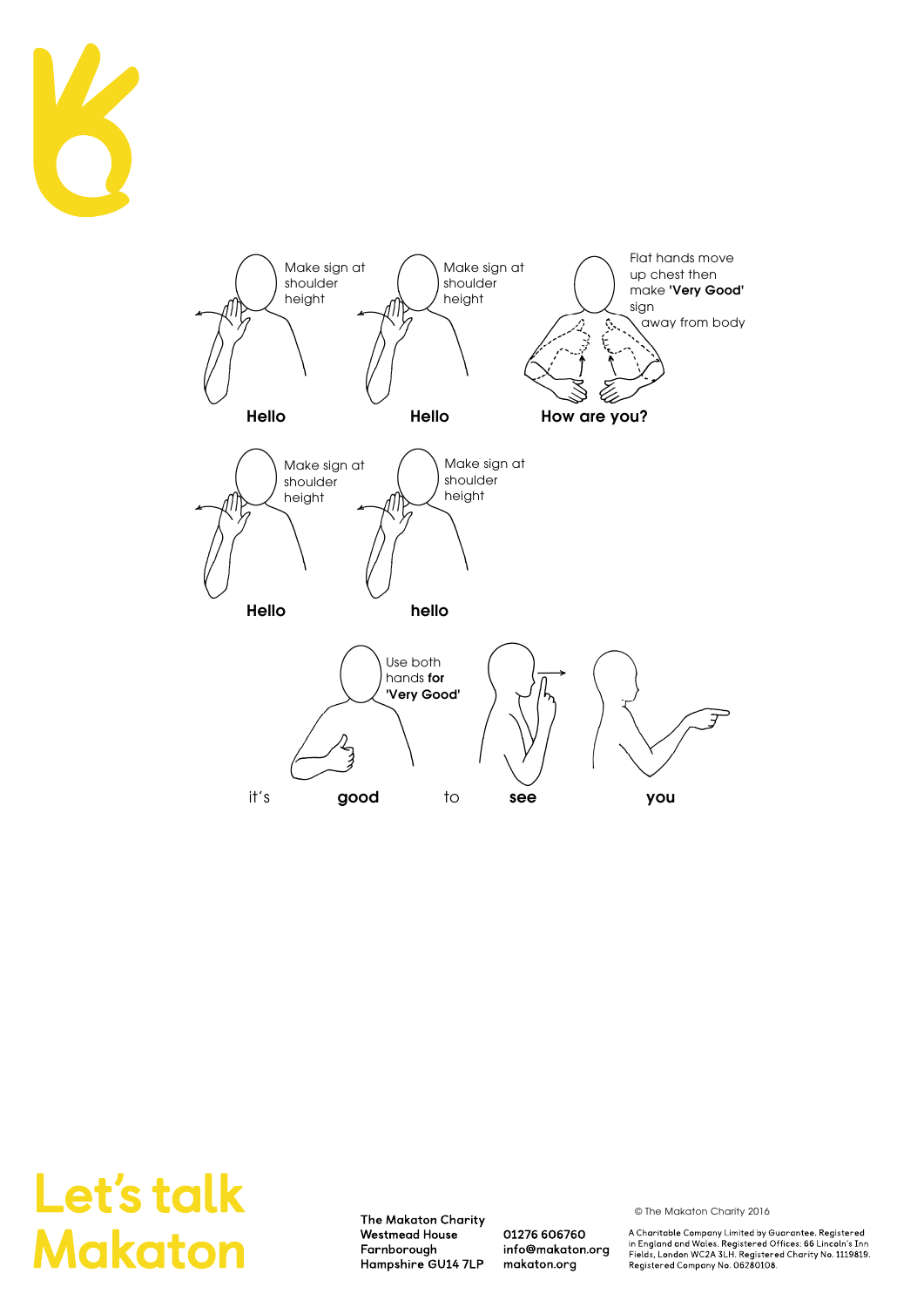



The Makaton Charity Westmead House Farnborough Hampshire GU14 7LP

01276 606760 info@makaton.org makaton.org

© The Makaton Charity 2016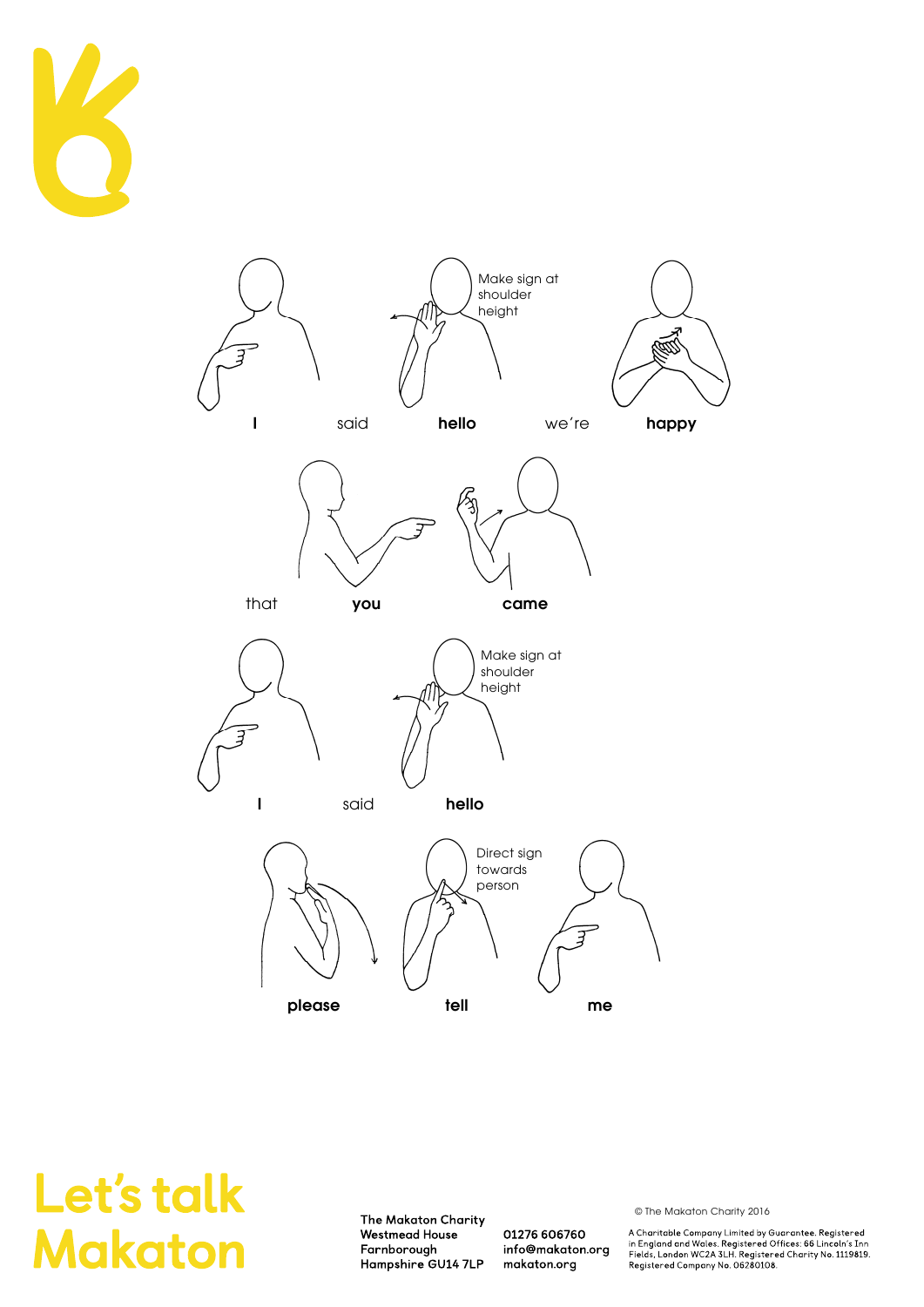



The Makaton Charity **Westmead House** Farnborough Hampshire GU14 7LP

01276 606760 info@makaton.org makaton.org

© The Makaton Charity 2016